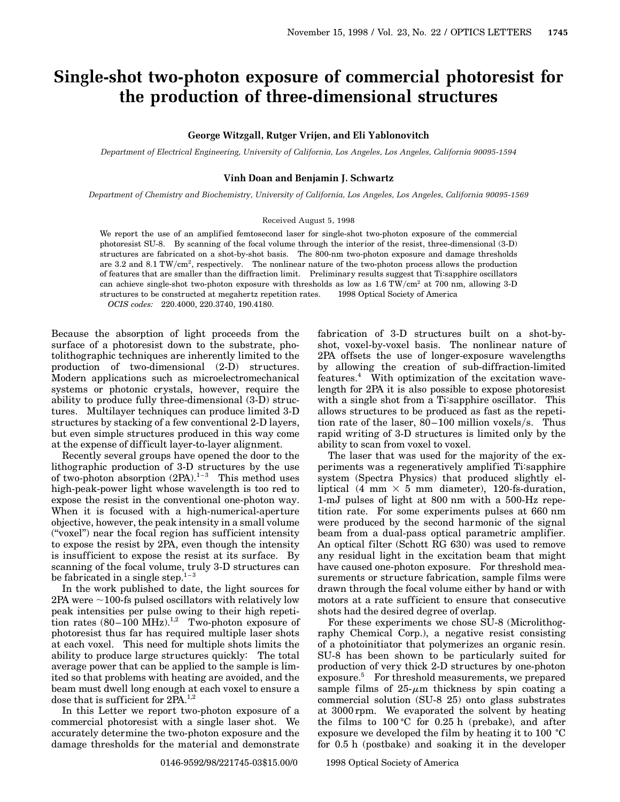# **Single-shot two-photon exposure of commercial photoresist for the production of three-dimensional structures**

### **George Witzgall, Rutger Vrijen, and Eli Yablonovitch**

*Department of Electrical Engineering, University of California, Los Angeles, Los Angeles, California 90095-1594*

## **Vinh Doan and Benjamin J. Schwartz**

*Department of Chemistry and Biochemistry, University of California, Los Angeles, Los Angeles, California 90095-1569*

#### Received August 5, 1998

We report the use of an amplified femtosecond laser for single-shot two-photon exposure of the commercial photoresist SU-8. By scanning of the focal volume through the interior of the resist, three-dimensional (3-D) structures are fabricated on a shot-by-shot basis. The 800-nm two-photon exposure and damage thresholds are 3.2 and 8.1 TW/ $\text{cm}^2$ , respectively. The nonlinear nature of the two-photon process allows the production of features that are smaller than the diffraction limit. Preliminary results suggest that Ti:sapphire oscillators can achieve single-shot two-photon exposure with thresholds as low as  $1.6 \text{ TW/cm}^2$  at 700 nm, allowing 3-D structures to be constructed at megahertz repetition rates. © 1998 Optical Society of America *OCIS codes:* 220.4000, 220.3740, 190.4180.

Because the absorption of light proceeds from the surface of a photoresist down to the substrate, photolithographic techniques are inherently limited to the production of two-dimensional (2-D) structures. Modern applications such as microelectromechanical systems or photonic crystals, however, require the ability to produce fully three-dimensional (3-D) structures. Multilayer techniques can produce limited 3-D structures by stacking of a few conventional 2-D layers, but even simple structures produced in this way come at the expense of difficult layer-to-layer alignment.

Recently several groups have opened the door to the lithographic production of 3-D structures by the use of two-photon absorption  $(2PA).^{1-3}$  This method uses high-peak-power light whose wavelength is too red to expose the resist in the conventional one-photon way. When it is focused with a high-numerical-aperture objective, however, the peak intensity in a small volume (''voxel'') near the focal region has sufficient intensity to expose the resist by 2PA, even though the intensity is insufficient to expose the resist at its surface. By scanning of the focal volume, truly 3-D structures can be fabricated in a single step. $1-3$ 

In the work published to date, the light sources for  $2PA$  were  $\sim$ 100-fs pulsed oscillators with relatively low peak intensities per pulse owing to their high repetition rates  $(80-100 \text{ MHz})$ .<sup>1,2</sup> Two-photon exposure of photoresist thus far has required multiple laser shots at each voxel. This need for multiple shots limits the ability to produce large structures quickly: The total average power that can be applied to the sample is limited so that problems with heating are avoided, and the beam must dwell long enough at each voxel to ensure a dose that is sufficient for 2PA.<sup>1,2</sup>

In this Letter we report two-photon exposure of a commercial photoresist with a single laser shot. We accurately determine the two-photon exposure and the damage thresholds for the material and demonstrate fabrication of 3-D structures built on a shot-byshot, voxel-by-voxel basis. The nonlinear nature of 2PA offsets the use of longer-exposure wavelengths by allowing the creation of sub-diffraction-limited features.4 With optimization of the excitation wavelength for 2PA it is also possible to expose photoresist with a single shot from a Ti:sapphire oscillator. This allows structures to be produced as fast as the repetition rate of the laser,  $80-100$  million voxels/s. Thus rapid writing of 3-D structures is limited only by the ability to scan from voxel to voxel.

The laser that was used for the majority of the experiments was a regeneratively amplified Ti:sapphire system (Spectra Physics) that produced slightly elliptical (4 mm  $\times$  5 mm diameter), 120-fs-duration, 1-mJ pulses of light at 800 nm with a 500-Hz repetition rate. For some experiments pulses at 660 nm were produced by the second harmonic of the signal beam from a dual-pass optical parametric amplifier. An optical filter (Schott RG 630) was used to remove any residual light in the excitation beam that might have caused one-photon exposure. For threshold measurements or structure fabrication, sample films were drawn through the focal volume either by hand or with motors at a rate sufficient to ensure that consecutive shots had the desired degree of overlap.

For these experiments we chose SU-8 (Microlithography Chemical Corp.), a negative resist consisting of a photoinitiator that polymerizes an organic resin. SU-8 has been shown to be particularly suited for production of very thick 2-D structures by one-photon exposure.<sup>5</sup> For threshold measurements, we prepared sample films of  $25-\mu m$  thickness by spin coating a commercial solution (SU-8 25) onto glass substrates at 3000 rpm. We evaporated the solvent by heating the films to  $100 \degree C$  for 0.25 h (prebake), and after exposure we developed the film by heating it to 100  $^{\circ}$ C for 0.5 h (postbake) and soaking it in the developer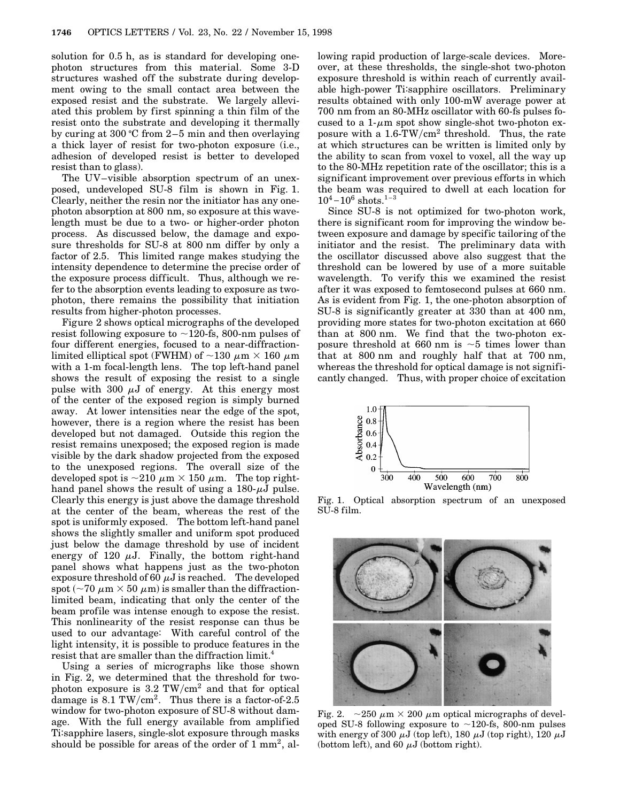solution for 0.5 h, as is standard for developing onephoton structures from this material. Some 3-D structures washed off the substrate during development owing to the small contact area between the exposed resist and the substrate. We largely alleviated this problem by first spinning a thin film of the resist onto the substrate and developing it thermally by curing at 300 °C from  $2-5$  min and then overlaying a thick layer of resist for two-photon exposure (i.e., adhesion of developed resist is better to developed resist than to glass).

The UV–visible absorption spectrum of an unexposed, undeveloped SU-8 film is shown in Fig. 1. Clearly, neither the resin nor the initiator has any onephoton absorption at 800 nm, so exposure at this wavelength must be due to a two- or higher-order photon process. As discussed below, the damage and exposure thresholds for SU-8 at 800 nm differ by only a factor of 2.5. This limited range makes studying the intensity dependence to determine the precise order of the exposure process difficult. Thus, although we refer to the absorption events leading to exposure as twophoton, there remains the possibility that initiation results from higher-photon processes.

Figure 2 shows optical micrographs of the developed resist following exposure to  $\sim$ 120-fs, 800-nm pulses of four different energies, focused to a near-diffractionlimited elliptical spot (FWHM) of  $\sim$ 130  $\mu$ m  $\times$  160  $\mu$ m with a 1-m focal-length lens. The top left-hand panel shows the result of exposing the resist to a single pulse with 300  $\mu$ J of energy. At this energy most of the center of the exposed region is simply burned away. At lower intensities near the edge of the spot, however, there is a region where the resist has been developed but not damaged. Outside this region the resist remains unexposed; the exposed region is made visible by the dark shadow projected from the exposed to the unexposed regions. The overall size of the developed spot is  $\sim$ 210  $\mu$ m  $\times$  150  $\mu$ m. The top righthand panel shows the result of using a  $180-\mu J$  pulse. Clearly this energy is just above the damage threshold at the center of the beam, whereas the rest of the spot is uniformly exposed. The bottom left-hand panel shows the slightly smaller and uniform spot produced just below the damage threshold by use of incident energy of 120  $\mu$ J. Finally, the bottom right-hand panel shows what happens just as the two-photon exposure threshold of 60  $\mu$ J is reached. The developed spot ( $\sim$ 70  $\mu$ m  $\times$  50  $\mu$ m) is smaller than the diffractionlimited beam, indicating that only the center of the beam profile was intense enough to expose the resist. This nonlinearity of the resist response can thus be used to our advantage: With careful control of the light intensity, it is possible to produce features in the resist that are smaller than the diffraction limit.<sup>4</sup>

Using a series of micrographs like those shown in Fig. 2, we determined that the threshold for twophoton exposure is  $3.2 \text{ TW/cm}^2$  and that for optical damage is  $8.1 \text{ TW/cm}^2$ . Thus there is a factor-of-2.5 window for two-photon exposure of SU-8 without damage. With the full energy available from amplified Ti:sapphire lasers, single-slot exposure through masks should be possible for areas of the order of  $1 \text{ mm}^2$ , allowing rapid production of large-scale devices. Moreover, at these thresholds, the single-shot two-photon exposure threshold is within reach of currently available high-power Ti:sapphire oscillators. Preliminary results obtained with only 100-mW average power at 700 nm from an 80-MHz oscillator with 60-fs pulses focused to a  $1-\mu m$  spot show single-shot two-photon exposure with a  $1.6$ -TW/cm<sup>2</sup> threshold. Thus, the rate at which structures can be written is limited only by the ability to scan from voxel to voxel, all the way up to the 80-MHz repetition rate of the oscillator; this is a significant improvement over previous efforts in which the beam was required to dwell at each location for  $10^4 - 10^6$  shots.<sup>1-3</sup>

Since SU-8 is not optimized for two-photon work, there is significant room for improving the window between exposure and damage by specific tailoring of the initiator and the resist. The preliminary data with the oscillator discussed above also suggest that the threshold can be lowered by use of a more suitable wavelength. To verify this we examined the resist after it was exposed to femtosecond pulses at 660 nm. As is evident from Fig. 1, the one-photon absorption of SU-8 is significantly greater at 330 than at 400 nm, providing more states for two-photon excitation at 660 than at 800 nm. We find that the two-photon exposure threshold at 660 nm is  $\sim$  5 times lower than that at 800 nm and roughly half that at 700 nm, whereas the threshold for optical damage is not significantly changed. Thus, with proper choice of excitation



Fig. 1. Optical absorption spectrum of an unexposed SU-8 film.



Fig. 2.  $\sim$  250  $\mu$ m  $\times$  200  $\mu$ m optical micrographs of developed SU-8 following exposure to  $\sim$ 120-fs, 800-nm pulses with energy of 300  $\mu$ J (top left), 180  $\mu$ J (top right), 120  $\mu$ J (bottom left), and 60  $\mu$ J (bottom right).